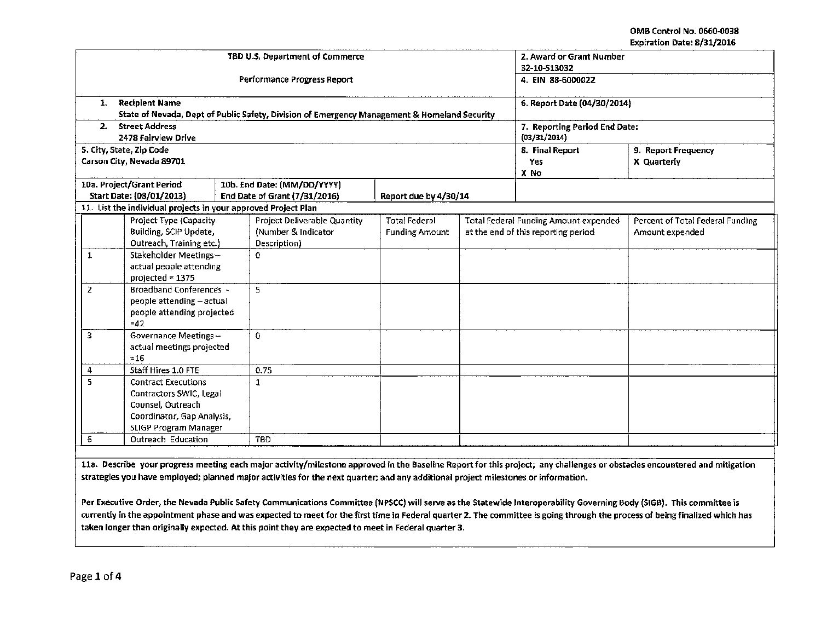| TBD U.S. Department of Commerce<br><b>Performance Progress Report</b>                                                                              |                                                                                                                                                |              |                                                                     |                                               |                                                                                     | 2. Award or Grant Number<br>32-10-513032<br>4. EIN 88-6000022 |                                                     |  |
|----------------------------------------------------------------------------------------------------------------------------------------------------|------------------------------------------------------------------------------------------------------------------------------------------------|--------------|---------------------------------------------------------------------|-----------------------------------------------|-------------------------------------------------------------------------------------|---------------------------------------------------------------|-----------------------------------------------------|--|
|                                                                                                                                                    |                                                                                                                                                |              |                                                                     |                                               |                                                                                     |                                                               |                                                     |  |
| State of Nevada, Dept of Public Safety, Division of Emergency Management & Homeland Security<br><b>Street Address</b><br>2.<br>2478 Fairview Drive |                                                                                                                                                |              |                                                                     |                                               |                                                                                     | 7. Reporting Period End Date:<br>(03/31/2014)                 |                                                     |  |
|                                                                                                                                                    | 5. City, State, Zip Code                                                                                                                       |              |                                                                     |                                               |                                                                                     | 8. Final Report                                               | 9. Report Frequency                                 |  |
|                                                                                                                                                    | Carson City, Nevada 89701                                                                                                                      |              |                                                                     |                                               |                                                                                     | Yes                                                           | X Quarterly                                         |  |
|                                                                                                                                                    |                                                                                                                                                |              |                                                                     |                                               |                                                                                     | X No                                                          |                                                     |  |
|                                                                                                                                                    | 10a. Project/Grant Period<br>10b. End Date: (MM/DD/YYYY)<br>Start Date: (08/01/2013)<br>End Date of Grant (7/31/2016)<br>Report due by 4/30/14 |              |                                                                     |                                               |                                                                                     |                                                               |                                                     |  |
|                                                                                                                                                    | 11. List the individual projects in your approved Project Plan                                                                                 |              |                                                                     |                                               |                                                                                     |                                                               |                                                     |  |
|                                                                                                                                                    | Project Type (Capacity<br>Building, SCIP Update,<br>Outreach, Training etc.)                                                                   |              | Project Deliverable Quantity<br>(Number & Indicator<br>Description) | <b>Total Federal</b><br><b>Funding Amount</b> | <b>Total Federal Funding Amount expended</b><br>at the end of this reporting period |                                                               | Percent of Total Federal Funding<br>Amount expended |  |
| Stakeholder Meetings-<br>1<br>actual people attending<br>projected $= 1375$                                                                        |                                                                                                                                                | 0            |                                                                     |                                               |                                                                                     |                                                               |                                                     |  |
| $\overline{2}$<br><b>Broadband Conferences -</b><br>people attending - actual<br>people attending projected<br>$=42$                               |                                                                                                                                                | 5            |                                                                     |                                               |                                                                                     |                                                               |                                                     |  |
| 3                                                                                                                                                  | Governance Meetings -<br>actual meetings projected<br>$= 16$                                                                                   |              | 0                                                                   |                                               |                                                                                     |                                                               |                                                     |  |
| 4                                                                                                                                                  | Staff Hires 1.0 FTE                                                                                                                            |              | 0.75                                                                |                                               |                                                                                     |                                                               |                                                     |  |
| 5.<br><b>Contract Executions</b><br>Contractors SWIC, Legal<br>Counsel, Outreach<br>Coordinator, Gap Analysis,<br>SLIGP Program Manager            |                                                                                                                                                | $\mathbf{1}$ |                                                                     |                                               |                                                                                     |                                                               |                                                     |  |
| 6                                                                                                                                                  | Outreach Education                                                                                                                             |              | <b>TBD</b>                                                          |                                               |                                                                                     |                                                               |                                                     |  |

lla. Describe your progress meeting each major activity/milestone approved in the Baseline Report for this project; any challenges or obstacles encountered and mitigation strategies you have employed; planned major activities for the next quarter; and any additional project milestones or information.

Per Executive Order, the Nevada Public Safety Communications Committee {NPSCC) will serve as the Statewide lnteroperability Governing Body (SIGB). This committee is currently in the appointment phase and was expected to meet for the first time in Federal quarter 2. The committee is going through the process of being finalized which has taken longer than originally expected. At this point they are expected to meet in Federal quarter 3:.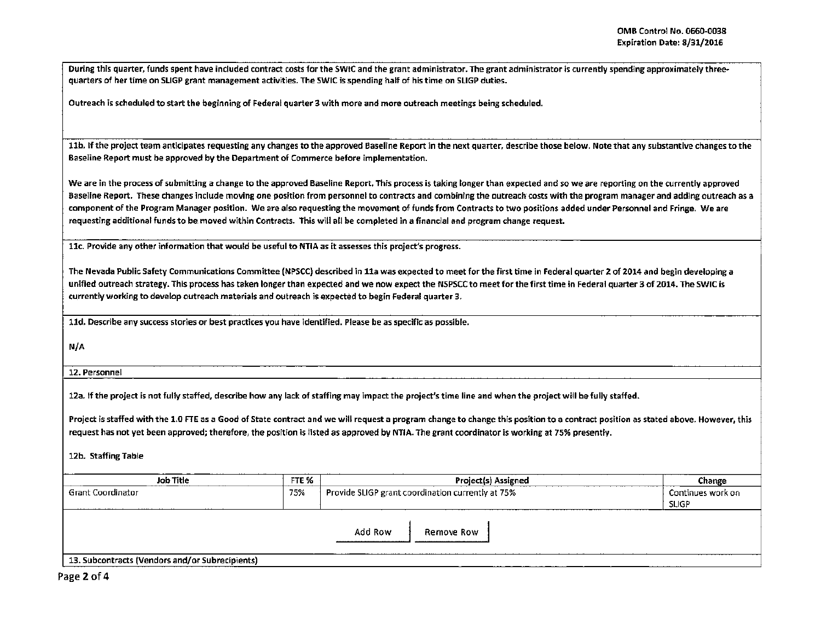During this quarter, funds spent have included contract costs for the SWIC and the grant administrator. The grant administrator is currently spending approximately threequarters of her time on SLIGP grant management activities. The SWIC is spending half of his time on SLIGP duties.

Outreach is scheduled to start the beginning of Federal quarter *3* with more and more outreach meetings being scheduled.

11b. If the project team anticipates requesting any changes to the approved Baseline Report in the next quarter, describe those below. Note that any substantive changes to the Baseline Report must be approved by the Department of Commerce before implementation.

We are in the process of submitting a change to the approved Baseline Report. This process is taking longer than expected and so we are reporting on the currently approved Baseline Report. These changes include moving one position from personnel to contracts and combining the outreach costs with the program manager and adding outreach as a component of the Program Manager position. We are also requesting the movement of funds from Contracts to two positions added under Personnel and Fringe. We are requesting additional funds to be moved within Contracts. This will aU be completed in a financial and program change request.

llc. Provide any other information that would be useful to NTIA as it assesses this project's progress.

The Nevada Public Safety Communications Committee (NPSCC) described in 11a was expected to meet for the first time in Federal quarter 2 of 2014 and begin developing a unified outreach strategy. This process has taken longer than expected and we now expect the NSPSCC to meet for the first time in Federal quarter 3 of 2014. The SWIC is currently working to develop outreach materials and outreach is expected to begin Federal quarter 3.

lld. Describe any success stories or best practices you have identified. Please be as specific as possible.

N/A

12. Personnel

12a. If the project is not fully staffed, describe how any lack of staffing may impact the project's time line and when the project will be fully staffed.

Project is staffed with the 1.0 FTE as a Good of State contract and we will request a program change to change this position to a contract position as stated above. However, this request has not yet been approved; therefore, the position is listed as approved by NTIA. The grant coordinator is working at 7S% presently.

12b. Staffing Table

| FTE %<br>Job Title                              |     | Project(s) Assigned                                                                                                                                                     | Change                            |  |
|-------------------------------------------------|-----|-------------------------------------------------------------------------------------------------------------------------------------------------------------------------|-----------------------------------|--|
| <b>Grant Coordinator</b><br>.                   | 75% | Provide SLIGP grant coordination currently at 75%                                                                                                                       | Continues work on<br><b>SLIGP</b> |  |
|                                                 |     | Add Row<br>Remove Row<br>and the settlem dependence contains the first contains and detected<br>estan Angels Angels Angels Adolf a Linguist Angels Angels Angels Angels |                                   |  |
| 13. Subcontracts (Vendors and/or Subrecipients) |     |                                                                                                                                                                         |                                   |  |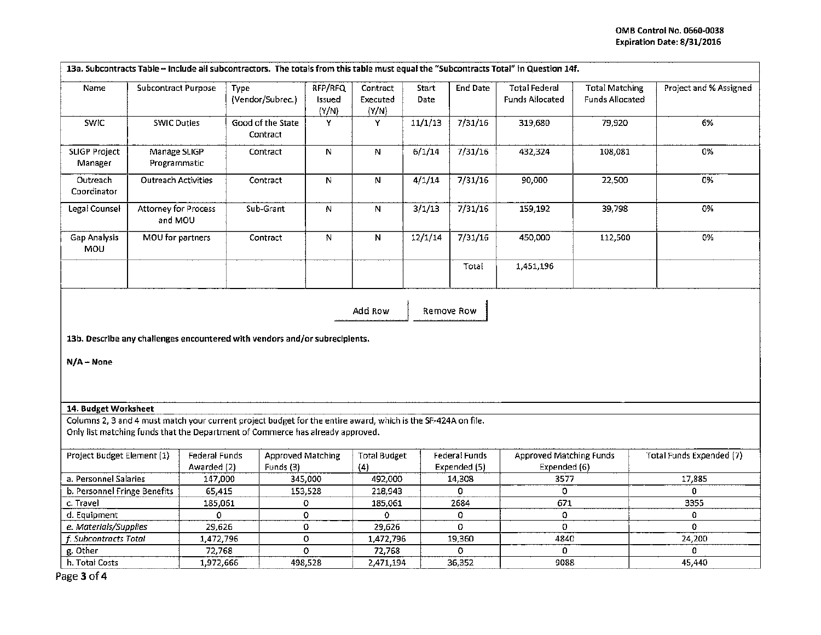| 13a. Subcontracts Table - Include all subcontractors. The totals from this table must equal the "Subcontracts Total" in Question 14f. |                                 |                              |                                                                                                               |                            |                               |                      |                               |                                                |                                                 |                          |
|---------------------------------------------------------------------------------------------------------------------------------------|---------------------------------|------------------------------|---------------------------------------------------------------------------------------------------------------|----------------------------|-------------------------------|----------------------|-------------------------------|------------------------------------------------|-------------------------------------------------|--------------------------|
| Name                                                                                                                                  | <b>Subcontract Purpose</b>      |                              | Type<br>(Vendor/Subrec.)                                                                                      | RFP/RFQ<br>Issued<br>(Y/N) | Contract<br>Executed<br>(Y/N) | <b>Start</b><br>Date | <b>End Date</b>               | <b>Total Federal</b><br>Funds Allocated        | <b>Total Matching</b><br><b>Funds Allocated</b> | Project and % Assigned   |
| SWIC                                                                                                                                  | <b>SWIC Duties</b>              |                              | Good of the State<br>Contract                                                                                 | Y                          | Υ                             | 11/1/13              | 7/31/16                       | 319,680                                        | 79,920                                          | 6%                       |
| <b>SLIGP Project</b><br>Manager                                                                                                       | Manage SLIGP<br>Programmatic    |                              | Contract                                                                                                      | N                          | $\mathbf N$                   | 6/1/14               | 7/31/16                       | 432,324                                        | 108,081                                         | 0%                       |
| Outreach<br>Coordinator                                                                                                               | <b>Outreach Activities</b>      |                              | Contract                                                                                                      | N                          | ${\bf N}$                     | 4/1/14               | 7/31/16                       | 90,000                                         | 22,500                                          | 0%                       |
| Legal Counsel                                                                                                                         | Attorney for Process<br>and MOU |                              | Sub-Grant                                                                                                     | N                          | $\mathbf N$                   | 3/1/13               | 7/31/16                       | 159,192                                        | 39,798                                          | 0%                       |
| Gap Analysis<br>MOU                                                                                                                   | MOU for partners                |                              | Contract                                                                                                      | $\mathbf N$                | N                             | 12/1/14              | 7/31/16                       | 450,000                                        | 112,500                                         | 0%                       |
|                                                                                                                                       |                                 |                              |                                                                                                               |                            |                               |                      | Total                         | 1,451,196                                      |                                                 |                          |
| Add Row<br>Remove Row<br>13b. Describe any challenges encountered with vendors and/or subrecipients.<br>$N/A - None$                  |                                 |                              |                                                                                                               |                            |                               |                      |                               |                                                |                                                 |                          |
| 14. Budget Worksheet                                                                                                                  |                                 |                              | Columns 2, 3 and 4 must match your current project budget for the entire award, which is the SF-424A on file. |                            |                               |                      |                               |                                                |                                                 |                          |
|                                                                                                                                       |                                 |                              | Only list matching funds that the Department of Commerce has already approved.                                |                            |                               |                      |                               |                                                |                                                 |                          |
| Project Budget Element (1)                                                                                                            |                                 | Federal Funds<br>Awarded (2) | Approved Matching<br>Funds (3)                                                                                |                            | <b>Total Budget</b><br>(4)    |                      | Federal Funds<br>Expended (5) | <b>Approved Matching Funds</b><br>Expended (6) |                                                 | Total Funds Expended (7) |
| a. Personnel Salaries                                                                                                                 |                                 | 147,000                      | 345,000                                                                                                       |                            | 492,000                       |                      | 14,308                        | 3577                                           |                                                 | 17,885                   |
| b. Personnel Fringe Benefits                                                                                                          |                                 | 65,415                       | 153,528                                                                                                       |                            | 218,943                       |                      | 0                             | 0                                              |                                                 | 0                        |
| c. Travel                                                                                                                             |                                 | 185,061                      | 0                                                                                                             |                            | 185,061                       |                      | 2684                          | 671                                            |                                                 | 3355                     |
| d. Equipment                                                                                                                          |                                 | 0                            |                                                                                                               | 0                          | 0                             |                      | 0<br>0                        | 0<br>0                                         |                                                 | 0<br>0                   |
| e. Materials/Supplies<br>f. Subcontracts Total                                                                                        |                                 | 29,626<br>1,472,796          | 0                                                                                                             | 0                          | 29,626<br>1,472,796           |                      | 19,360                        | 4840                                           |                                                 | 24,200                   |
| g. Other                                                                                                                              |                                 | 72,768                       |                                                                                                               | $\overline{o}$             | 72,768                        |                      | 0                             | 0                                              |                                                 | 0                        |
| h. Total Costs                                                                                                                        |                                 | 1,972,666                    |                                                                                                               | 498,528                    | 2,471,194                     |                      | 36,352                        | 9088                                           |                                                 | 45,440                   |
|                                                                                                                                       |                                 |                              |                                                                                                               |                            |                               |                      |                               |                                                |                                                 |                          |